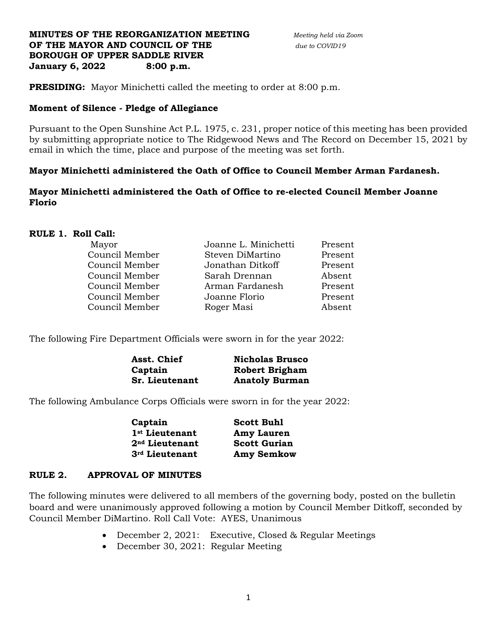## **MINUTES OF THE REORGANIZATION MEETING** *Meeting held via Zoom* **OF THE MAYOR AND COUNCIL OF THE** *due to COVID19*  **BOROUGH OF UPPER SADDLE RIVER January 6, 2022 8:00 p.m.**

**PRESIDING:** Mayor Minichetti called the meeting to order at 8:00 p.m.

# **Moment of Silence - Pledge of Allegiance**

Pursuant to the Open Sunshine Act P.L. 1975, c. 231, proper notice of this meeting has been provided by submitting appropriate notice to The Ridgewood News and The Record on December 15, 2021 by email in which the time, place and purpose of the meeting was set forth.

# **Mayor Minichetti administered the Oath of Office to Council Member Arman Fardanesh.**

# **Mayor Minichetti administered the Oath of Office to re-elected Council Member Joanne Florio**

# **RULE 1. Roll Call:**

| Present |
|---------|
| Present |
| Present |
| Absent  |
| Present |
| Present |
| Absent  |
|         |

The following Fire Department Officials were sworn in for the year 2022:

| Asst. Chief    | <b>Nicholas Brusco</b> |
|----------------|------------------------|
| Captain        | <b>Robert Brigham</b>  |
| Sr. Lieutenant | <b>Anatoly Burman</b>  |

The following Ambulance Corps Officials were sworn in for the year 2022:

| Captain                    | <b>Scott Buhl</b>   |
|----------------------------|---------------------|
| 1 <sup>st</sup> Lieutenant | <b>Amy Lauren</b>   |
| 2 <sup>nd</sup> Lieutenant | <b>Scott Gurian</b> |
| 3rd Lieutenant             | <b>Amy Semkow</b>   |

### **RULE 2. APPROVAL OF MINUTES**

The following minutes were delivered to all members of the governing body, posted on the bulletin board and were unanimously approved following a motion by Council Member Ditkoff, seconded by Council Member DiMartino. Roll Call Vote: AYES, Unanimous

- December 2, 2021: Executive, Closed & Regular Meetings
- December 30, 2021: Regular Meeting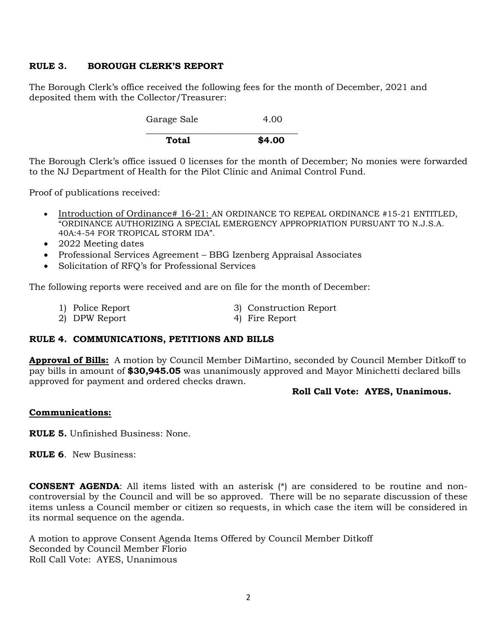# **RULE 3. BOROUGH CLERK'S REPORT**

The Borough Clerk's office received the following fees for the month of December, 2021 and deposited them with the Collector/Treasurer:

> Garage Sale 4.00  $\overline{\phantom{a}}$  , and the contract of the contract of the contract of the contract of the contract of the contract of the contract of the contract of the contract of the contract of the contract of the contract of the contrac **Total \$4.00**

The Borough Clerk's office issued 0 licenses for the month of December; No monies were forwarded to the NJ Department of Health for the Pilot Clinic and Animal Control Fund.

Proof of publications received:

- Introduction of Ordinance# 16-21: AN ORDINANCE TO REPEAL ORDINANCE #15-21 ENTITLED, "ORDINANCE AUTHORIZING A SPECIAL EMERGENCY APPROPRIATION PURSUANT TO N.J.S.A. 40A:4-54 FOR TROPICAL STORM IDA".
- 2022 Meeting dates
- Professional Services Agreement BBG Izenberg Appraisal Associates
- Solicitation of RFQ's for Professional Services

The following reports were received and are on file for the month of December:

- 1) Police Report 3) Construction Report
	- 2) DPW Report 4) Fire Report

# **RULE 4. COMMUNICATIONS, PETITIONS AND BILLS**

**Approval of Bills:** A motion by Council Member DiMartino, seconded by Council Member Ditkoff to pay bills in amount of **\$30,945.05** was unanimously approved and Mayor Minichetti declared bills approved for payment and ordered checks drawn.

### **Roll Call Vote: AYES, Unanimous.**

### **Communications:**

**RULE 5.** Unfinished Business: None.

**RULE 6**. New Business:

**CONSENT AGENDA:** All items listed with an asterisk (\*) are considered to be routine and noncontroversial by the Council and will be so approved. There will be no separate discussion of these items unless a Council member or citizen so requests, in which case the item will be considered in its normal sequence on the agenda.

A motion to approve Consent Agenda Items Offered by Council Member Ditkoff Seconded by Council Member Florio Roll Call Vote: AYES, Unanimous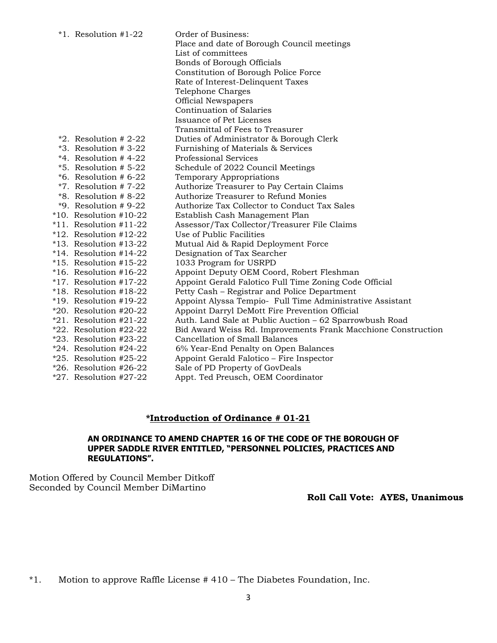| $*1.$ Resolution #1-22                             | Order of Business:<br>Place and date of Borough Council meetings<br>List of committees<br>Bonds of Borough Officials<br>Constitution of Borough Police Force<br>Rate of Interest-Delinquent Taxes<br>Telephone Charges<br><b>Official Newspapers</b><br><b>Continuation of Salaries</b> |
|----------------------------------------------------|-----------------------------------------------------------------------------------------------------------------------------------------------------------------------------------------------------------------------------------------------------------------------------------------|
|                                                    | Issuance of Pet Licenses                                                                                                                                                                                                                                                                |
|                                                    | Transmittal of Fees to Treasurer                                                                                                                                                                                                                                                        |
| $*2.$ Resolution # 2-22                            | Duties of Administrator & Borough Clerk                                                                                                                                                                                                                                                 |
| $*3.$ Resolution # 3-22<br>$*4.$ Resolution # 4-22 | Furnishing of Materials & Services<br><b>Professional Services</b>                                                                                                                                                                                                                      |
| $*5.$ Resolution # 5-22                            | Schedule of 2022 Council Meetings                                                                                                                                                                                                                                                       |
| $*6.$ Resolution # 6-22                            | Temporary Appropriations                                                                                                                                                                                                                                                                |
| $*7.$ Resolution # 7-22                            | Authorize Treasurer to Pay Certain Claims                                                                                                                                                                                                                                               |
| $*8.$ Resolution # 8-22                            | Authorize Treasurer to Refund Monies                                                                                                                                                                                                                                                    |
| $*9.$ Resolution # 9-22                            | Authorize Tax Collector to Conduct Tax Sales                                                                                                                                                                                                                                            |
| $*10.$ Resolution #10-22                           | Establish Cash Management Plan                                                                                                                                                                                                                                                          |
| $*11.$ Resolution #11-22                           | Assessor/Tax Collector/Treasurer File Claims                                                                                                                                                                                                                                            |
| $*12.$ Resolution #12-22                           | Use of Public Facilities                                                                                                                                                                                                                                                                |
| $*13.$ Resolution #13-22                           | Mutual Aid & Rapid Deployment Force                                                                                                                                                                                                                                                     |
| $*14.$ Resolution #14-22                           | Designation of Tax Searcher                                                                                                                                                                                                                                                             |
| $*15.$ Resolution #15-22                           | 1033 Program for USRPD                                                                                                                                                                                                                                                                  |
| $*16.$ Resolution #16-22                           | Appoint Deputy OEM Coord, Robert Fleshman                                                                                                                                                                                                                                               |
| $*17.$ Resolution #17-22                           | Appoint Gerald Falotico Full Time Zoning Code Official                                                                                                                                                                                                                                  |
| $*18.$ Resolution #18-22                           | Petty Cash - Registrar and Police Department                                                                                                                                                                                                                                            |
| $*19.$ Resolution #19-22                           | Appoint Alyssa Tempio- Full Time Administrative Assistant                                                                                                                                                                                                                               |
| $*20.$ Resolution #20-22                           | Appoint Darryl DeMott Fire Prevention Official                                                                                                                                                                                                                                          |
| $*21.$ Resolution #21-22                           | Auth. Land Sale at Public Auction - 62 Sparrowbush Road                                                                                                                                                                                                                                 |
| $*22.$ Resolution #22-22                           | Bid Award Weiss Rd. Improvements Frank Macchione Construction                                                                                                                                                                                                                           |
| $*23.$ Resolution #23-22                           | <b>Cancellation of Small Balances</b>                                                                                                                                                                                                                                                   |
| $*24.$ Resolution #24-22                           | 6% Year-End Penalty on Open Balances                                                                                                                                                                                                                                                    |
| $*25.$ Resolution #25-22                           | Appoint Gerald Falotico – Fire Inspector                                                                                                                                                                                                                                                |
| $*26.$ Resolution #26-22                           | Sale of PD Property of GovDeals                                                                                                                                                                                                                                                         |
| $*27.$ Resolution #27-22                           | Appt. Ted Preusch, OEM Coordinator                                                                                                                                                                                                                                                      |

## **\*Introduction of Ordinance # 01-21**

## **AN ORDINANCE TO AMEND CHAPTER 16 OF THE CODE OF THE BOROUGH OF UPPER SADDLE RIVER ENTITLED, "PERSONNEL POLICIES, PRACTICES AND REGULATIONS".**

Motion Offered by Council Member Ditkoff Seconded by Council Member DiMartino

 **Roll Call Vote: AYES, Unanimous**

\*1. Motion to approve Raffle License # 410 – The Diabetes Foundation, Inc.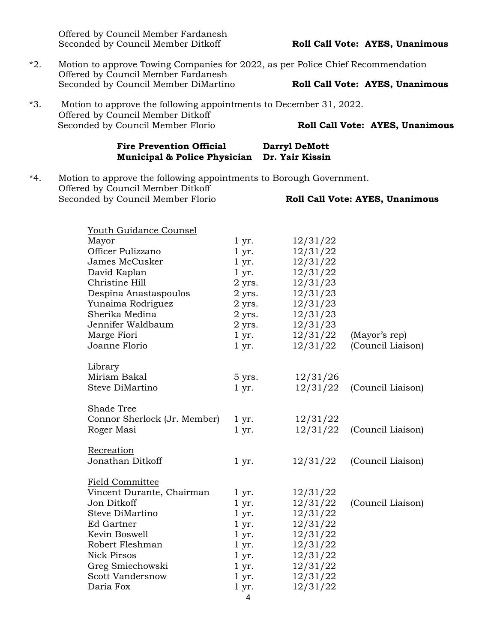Offered by Council Member Fardanesh Seconded by Council Member Ditkoff **Roll Call Vote: AYES, Unanimous** 

- \*2. Motion to approve Towing Companies for 2022, as per Police Chief Recommendation Offered by Council Member Fardanesh Seconded by Council Member DiMartino **Roll Call Vote: AYES, Unanimous**
- \*3. Motion to approve the following appointments to December 31, 2022. Offered by Council Member Ditkoff Seconded by Council Member Florio **Roll Call Vote: AYES, Unanimous**

#### Fire Prevention Official Darryl DeMott **Municipal & Police Physician Dr. Yair Kissin**

\*4. Motion to approve the following appointments to Borough Government. Offered by Council Member Ditkoff Seconded by Council Member Florio **Roll Call Vote: AYES, Unanimous**

| <u> Youth Guidance Counsel</u> |            |          |                   |
|--------------------------------|------------|----------|-------------------|
| Mayor                          | $1 \, yr.$ | 12/31/22 |                   |
| Officer Pulizzano              | $1 \, yr.$ | 12/31/22 |                   |
| James McCusker                 | $1 \, yr.$ | 12/31/22 |                   |
| David Kaplan                   | $1 \, yr.$ | 12/31/22 |                   |
| Christine Hill                 | 2 yrs.     | 12/31/23 |                   |
| Despina Anastaspoulos          | $2$ yrs.   | 12/31/23 |                   |
| Yunaima Rodriguez              | $2$ yrs.   | 12/31/23 |                   |
| Sherika Medina                 | $2$ yrs.   | 12/31/23 |                   |
| Jennifer Waldbaum              | $2$ yrs.   | 12/31/23 |                   |
| Marge Fiori                    | $1 \, yr.$ | 12/31/22 | (Mayor's rep)     |
| Joanne Florio                  | $1 \, yr.$ | 12/31/22 | (Council Liaison) |
| Library                        |            |          |                   |
| Miriam Bakal                   | 5 yrs.     | 12/31/26 |                   |
| Steve DiMartino                | $1 \, yr.$ | 12/31/22 | (Council Liaison) |
| <b>Shade Tree</b>              |            |          |                   |
| Connor Sherlock (Jr. Member)   | 1 yr.      | 12/31/22 |                   |
| Roger Masi                     | $1 \, yr.$ | 12/31/22 | (Council Liaison) |
| Recreation                     |            |          |                   |
| Jonathan Ditkoff               | $1 \, yr.$ | 12/31/22 | (Council Liaison) |
| <b>Field Committee</b>         |            |          |                   |
| Vincent Durante, Chairman      | $1 \, yr.$ | 12/31/22 |                   |
| Jon Ditkoff                    | $1 \, yr.$ | 12/31/22 | (Council Liaison) |
| Steve DiMartino                | $1 \, yr.$ | 12/31/22 |                   |
| <b>Ed Gartner</b>              | $1 \, yr.$ | 12/31/22 |                   |
| Kevin Boswell                  | $1 \, yr.$ | 12/31/22 |                   |
| Robert Fleshman                | $1 \, yr.$ | 12/31/22 |                   |
| <b>Nick Pirsos</b>             | $1 \, yr.$ | 12/31/22 |                   |
| Greg Smiechowski               | $1 \, yr.$ | 12/31/22 |                   |
| <b>Scott Vandersnow</b>        | $1 \, yr.$ | 12/31/22 |                   |
| Daria Fox                      | $1 \, yr.$ | 12/31/22 |                   |
|                                | 4          |          |                   |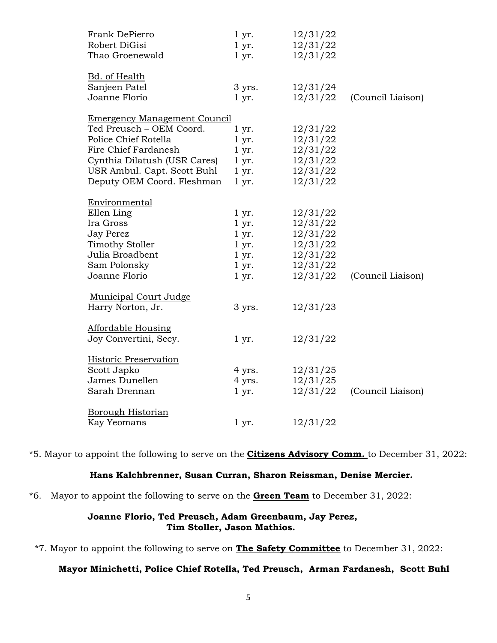| Frank DePierro                      | $1 \, yr.$ | 12/31/22 |                   |
|-------------------------------------|------------|----------|-------------------|
| Robert DiGisi                       | $1 \, yr.$ | 12/31/22 |                   |
| Thao Groenewald                     | $1 \, yr.$ | 12/31/22 |                   |
| <b>Bd.</b> of Health                |            |          |                   |
| Sanjeen Patel                       | 3 yrs.     | 12/31/24 |                   |
| Joanne Florio                       | $1 \, yr.$ | 12/31/22 | (Council Liaison) |
| <b>Emergency Management Council</b> |            |          |                   |
| Ted Preusch - OEM Coord.            | $1 \, yr.$ | 12/31/22 |                   |
| Police Chief Rotella                | $1 \, yr.$ | 12/31/22 |                   |
| Fire Chief Fardanesh                | $1 \, yr.$ | 12/31/22 |                   |
| Cynthia Dilatush (USR Cares)        | $1 \, yr.$ | 12/31/22 |                   |
| USR Ambul. Capt. Scott Buhl         | $1 \, yr.$ | 12/31/22 |                   |
| Deputy OEM Coord. Fleshman          | $1 \, yr.$ | 12/31/22 |                   |
| Environmental                       |            |          |                   |
| Ellen Ling                          | 1 yr.      | 12/31/22 |                   |
| Ira Gross                           | $1 \, yr.$ | 12/31/22 |                   |
| <b>Jay Perez</b>                    | $1 \, yr.$ | 12/31/22 |                   |
| <b>Timothy Stoller</b>              | $1 \, yr.$ | 12/31/22 |                   |
| Julia Broadbent                     | $1 \, yr.$ | 12/31/22 |                   |
| Sam Polonsky                        | $1 \, yr.$ | 12/31/22 |                   |
| Joanne Florio                       | $1 \, yr.$ | 12/31/22 | (Council Liaison) |
| <b>Municipal Court Judge</b>        |            |          |                   |
| Harry Norton, Jr.                   | 3 yrs.     | 12/31/23 |                   |
| <b>Affordable Housing</b>           |            |          |                   |
| Joy Convertini, Secy.               | $1 \, yr.$ | 12/31/22 |                   |
| Historic Preservation               |            |          |                   |
| Scott Japko                         | 4 yrs.     | 12/31/25 |                   |
| James Dunellen                      | 4 yrs.     | 12/31/25 |                   |
| Sarah Drennan                       | 1 yr.      | 12/31/22 | (Council Liaison) |
| <b>Borough Historian</b>            |            |          |                   |
| <b>Kay Yeomans</b>                  | $1 \, yr.$ | 12/31/22 |                   |
|                                     |            |          |                   |

\*5. Mayor to appoint the following to serve on the **Citizens Advisory Comm.** to December 31, 2022:

# **Hans Kalchbrenner, Susan Curran, Sharon Reissman, Denise Mercier.**

\*6.Mayor to appoint the following to serve on the **Green Team** to December 31, 2022:

### **Joanne Florio, Ted Preusch, Adam Greenbaum, Jay Perez, Tim Stoller, Jason Mathios.**

\*7. Mayor to appoint the following to serve on **The Safety Committee** to December 31, 2022:

# **Mayor Minichetti, Police Chief Rotella, Ted Preusch, Arman Fardanesh, Scott Buhl**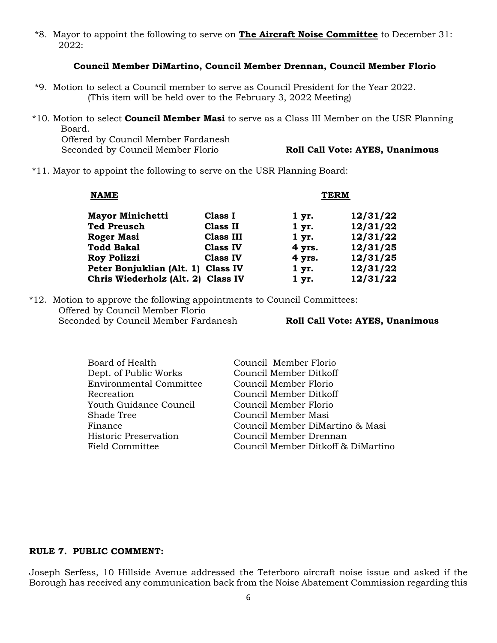\*8. Mayor to appoint the following to serve on **The Aircraft Noise Committee** to December 31: 2022:

#### **Council Member DiMartino, Council Member Drennan, Council Member Florio**

- \*9. Motion to select a Council member to serve as Council President for the Year 2022. (This item will be held over to the February 3, 2022 Meeting)
- \*10. Motion to select **Council Member Masi** to serve as a Class III Member on the USR Planning Board.

Offered by Council Member Fardanesh Seconded by Council Member Florio **Roll Call Vote: AYES, Unanimous** 

\*11. Mayor to appoint the following to serve on the USR Planning Board:

| <b>NAME</b>                        |                  | <b>TERM</b> |          |
|------------------------------------|------------------|-------------|----------|
| <b>Mayor Minichetti</b>            | Class I          | 1 yr.       | 12/31/22 |
| <b>Ted Preusch</b>                 | <b>Class II</b>  | 1 yr.       | 12/31/22 |
| <b>Roger Masi</b>                  | <b>Class III</b> | 1 yr.       | 12/31/22 |
| <b>Todd Bakal</b>                  | <b>Class IV</b>  | 4 yrs.      | 12/31/25 |
| <b>Roy Polizzi</b>                 | <b>Class IV</b>  | 4 yrs.      | 12/31/25 |
| Peter Bonjuklian (Alt. 1) Class IV |                  | 1 yr.       | 12/31/22 |
| Chris Wiederholz (Alt. 2) Class IV |                  | $1 \, yr.$  | 12/31/22 |

\*12. Motion to approve the following appointments to Council Committees: Offered by Council Member Florio Seconded by Council Member Fardanesh **Roll Call Vote: AYES, Unanimous**

| Board of Health                | Council Member Florio              |
|--------------------------------|------------------------------------|
| Dept. of Public Works          | Council Member Ditkoff             |
| <b>Environmental Committee</b> | Council Member Florio              |
| Recreation                     | Council Member Ditkoff             |
| Youth Guidance Council         | Council Member Florio              |
| Shade Tree                     | Council Member Masi                |
| Finance                        | Council Member DiMartino & Masi    |
| Historic Preservation          | Council Member Drennan             |
| Field Committee                | Council Member Ditkoff & DiMartino |
|                                |                                    |

## **RULE 7. PUBLIC COMMENT:**

Joseph Serfess, 10 Hillside Avenue addressed the Teterboro aircraft noise issue and asked if the Borough has received any communication back from the Noise Abatement Commission regarding this